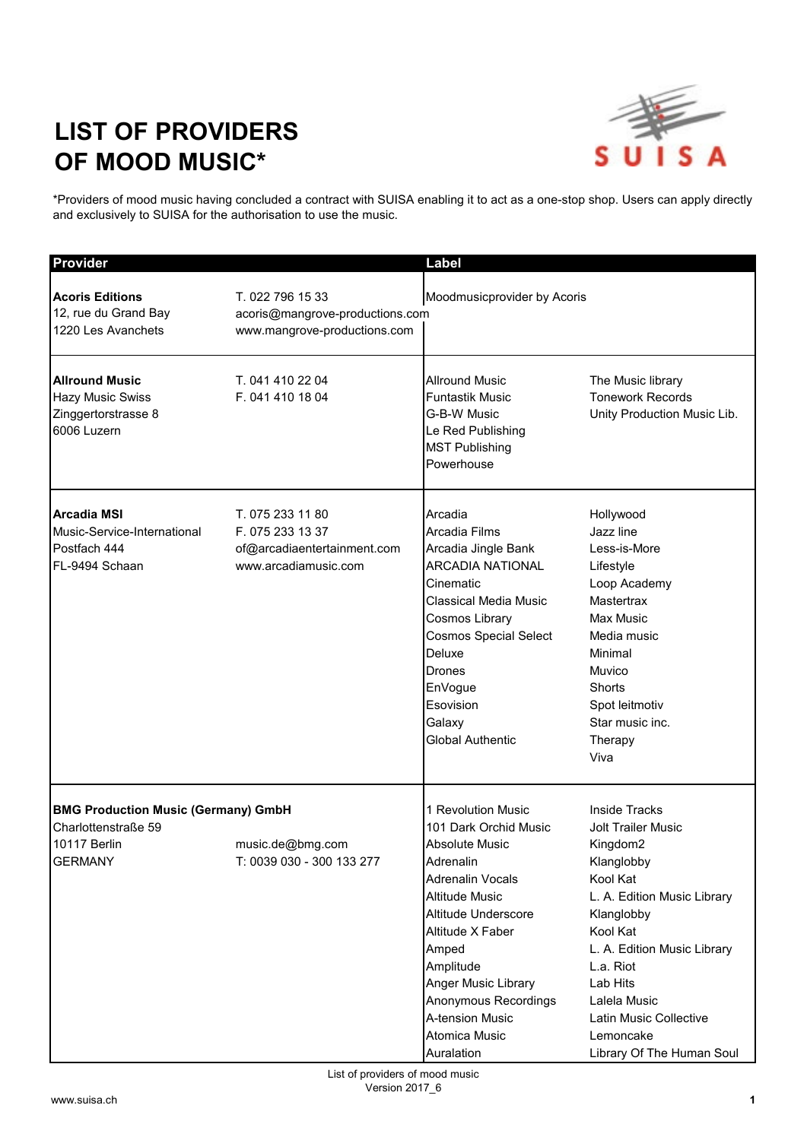## **LIST OF PROVIDERS OF MOOD MUSIC\***



\*Providers of mood music having concluded a contract with SUISA enabling it to act as a one-stop shop. Users can apply directly and exclusively to SUISA for the authorisation to use the music.

| Provider                                                                                                   |                                                                                             | Label                                                                                                                                                                                                                                                                                     |                                                                                                                                                                                                                                                                                              |
|------------------------------------------------------------------------------------------------------------|---------------------------------------------------------------------------------------------|-------------------------------------------------------------------------------------------------------------------------------------------------------------------------------------------------------------------------------------------------------------------------------------------|----------------------------------------------------------------------------------------------------------------------------------------------------------------------------------------------------------------------------------------------------------------------------------------------|
| <b>Acoris Editions</b><br>12, rue du Grand Bay<br>1220 Les Avanchets                                       | T. 022 796 15 33<br>acoris@mangrove-productions.com<br>www.mangrove-productions.com         | Moodmusicprovider by Acoris                                                                                                                                                                                                                                                               |                                                                                                                                                                                                                                                                                              |
| <b>Allround Music</b><br><b>Hazy Music Swiss</b><br>Zinggertorstrasse 8<br>6006 Luzern                     | T. 041 410 22 04<br>F. 041 410 18 04                                                        | <b>Allround Music</b><br><b>Funtastik Music</b><br>G-B-W Music<br>Le Red Publishing<br><b>MST Publishing</b><br>Powerhouse                                                                                                                                                                | The Music library<br><b>Tonework Records</b><br>Unity Production Music Lib.                                                                                                                                                                                                                  |
| <b>Arcadia MSI</b><br>Music-Service-International<br>Postfach 444<br>FL-9494 Schaan                        | T. 075 233 11 80<br>F. 075 233 13 37<br>of@arcadiaentertainment.com<br>www.arcadiamusic.com | Arcadia<br>Arcadia Films<br>Arcadia Jingle Bank<br><b>ARCADIA NATIONAL</b><br>Cinematic<br>Classical Media Music<br>Cosmos Library<br><b>Cosmos Special Select</b><br>Deluxe<br>Drones<br>EnVogue<br>Esovision<br>Galaxy<br><b>Global Authentic</b>                                       | Hollywood<br>Jazz line<br>Less-is-More<br>Lifestyle<br>Loop Academy<br>Mastertrax<br>Max Music<br>Media music<br>Minimal<br>Muvico<br>Shorts<br>Spot leitmotiv<br>Star music inc.<br>Therapy<br>Viva                                                                                         |
| <b>BMG Production Music (Germany) GmbH</b><br>Charlottenstraße 59<br><b>10117 Berlin</b><br><b>GERMANY</b> | music.de@bmg.com<br>T: 0039 030 - 300 133 277                                               | 1 Revolution Music<br>101 Dark Orchid Music<br>Absolute Music<br>Adrenalin<br>Adrenalin Vocals<br><b>Altitude Music</b><br>Altitude Underscore<br>Altitude X Faber<br>Amped<br>Amplitude<br>Anger Music Library<br>Anonymous Recordings<br>A-tension Music<br>Atomica Music<br>Auralation | <b>Inside Tracks</b><br><b>Jolt Trailer Music</b><br>Kingdom2<br>Klanglobby<br>Kool Kat<br>L. A. Edition Music Library<br>Klanglobby<br>Kool Kat<br>L. A. Edition Music Library<br>L.a. Riot<br>Lab Hits<br>Lalela Music<br>Latin Music Collective<br>Lemoncake<br>Library Of The Human Soul |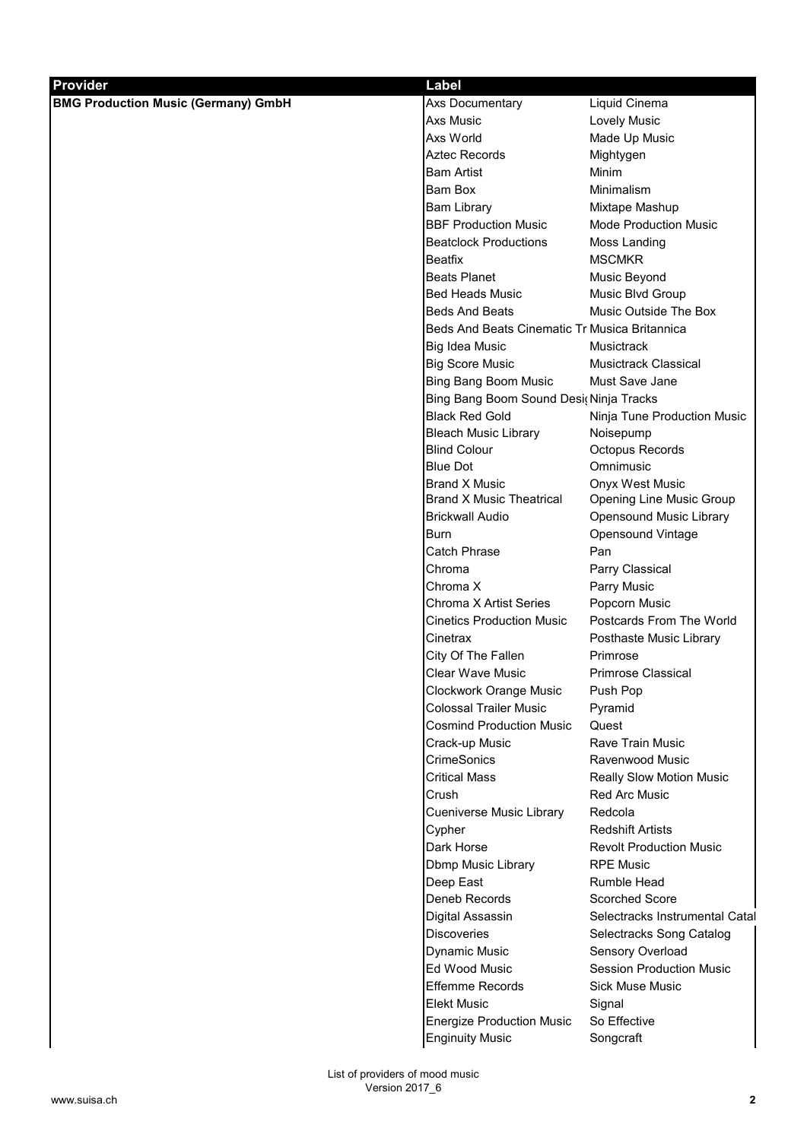| Provider                                   | <b>Label</b>                                  |                                 |
|--------------------------------------------|-----------------------------------------------|---------------------------------|
| <b>BMG Production Music (Germany) GmbH</b> | Axs Documentary                               | Liquid Cinema                   |
|                                            | Axs Music                                     | Lovely Music                    |
|                                            | Axs World                                     | Made Up Music                   |
|                                            | <b>Aztec Records</b>                          | Mightygen                       |
|                                            | <b>Bam Artist</b>                             | Minim                           |
|                                            | <b>Bam Box</b>                                | Minimalism                      |
|                                            | <b>Bam Library</b>                            | Mixtape Mashup                  |
|                                            | <b>BBF Production Music</b>                   | <b>Mode Production Music</b>    |
|                                            | <b>Beatclock Productions</b>                  | Moss Landing                    |
|                                            | <b>Beatfix</b>                                | <b>MSCMKR</b>                   |
|                                            | <b>Beats Planet</b>                           | Music Beyond                    |
|                                            | <b>Bed Heads Music</b>                        | Music Blvd Group                |
|                                            | <b>Beds And Beats</b>                         | Music Outside The Box           |
|                                            | Beds And Beats Cinematic Tr Musica Britannica |                                 |
|                                            | Big Idea Music                                | Musictrack                      |
|                                            | <b>Big Score Music</b>                        | <b>Musictrack Classical</b>     |
|                                            | <b>Bing Bang Boom Music</b>                   | Must Save Jane                  |
|                                            | Bing Bang Boom Sound Desi(Ninja Tracks        |                                 |
|                                            | <b>Black Red Gold</b>                         | Ninja Tune Production Music     |
|                                            | <b>Bleach Music Library</b>                   | Noisepump                       |
|                                            | <b>Blind Colour</b>                           | Octopus Records                 |
|                                            | <b>Blue Dot</b>                               | Omnimusic                       |
|                                            | <b>Brand X Music</b>                          | Onyx West Music                 |
|                                            | <b>Brand X Music Theatrical</b>               | Opening Line Music Group        |
|                                            | <b>Brickwall Audio</b>                        | Opensound Music Library         |
|                                            | <b>Burn</b>                                   | Opensound Vintage               |
|                                            | Catch Phrase                                  | Pan                             |
|                                            | Chroma                                        | Parry Classical                 |
|                                            | Chroma X                                      | Parry Music                     |
|                                            | Chroma X Artist Series                        | Popcorn Music                   |
|                                            | <b>Cinetics Production Music</b>              | Postcards From The World        |
|                                            | Cinetrax                                      | Posthaste Music Library         |
|                                            | City Of The Fallen                            | Primrose                        |
|                                            | Clear Wave Music                              | <b>Primrose Classical</b>       |
|                                            | Clockwork Orange Music                        | Push Pop                        |
|                                            | <b>Colossal Trailer Music</b>                 | Pyramid                         |
|                                            | <b>Cosmind Production Music</b>               | Quest                           |
|                                            | Crack-up Music                                | Rave Train Music                |
|                                            | CrimeSonics                                   | Ravenwood Music                 |
|                                            | <b>Critical Mass</b>                          | <b>Really Slow Motion Music</b> |
|                                            | Crush                                         | <b>Red Arc Music</b>            |
|                                            | Cueniverse Music Library                      | Redcola                         |
|                                            | Cypher                                        | <b>Redshift Artists</b>         |
|                                            | Dark Horse                                    | <b>Revolt Production Music</b>  |
|                                            | Dbmp Music Library                            | <b>RPE Music</b>                |
|                                            | Deep East                                     | Rumble Head                     |
|                                            | Deneb Records                                 | Scorched Score                  |
|                                            | Digital Assassin                              | Selectracks Instrumental Catal  |
|                                            | <b>Discoveries</b>                            | Selectracks Song Catalog        |
|                                            | <b>Dynamic Music</b>                          | Sensory Overload                |
|                                            | Ed Wood Music                                 | <b>Session Production Music</b> |
|                                            | <b>Effemme Records</b>                        | <b>Sick Muse Music</b>          |
|                                            | <b>Elekt Music</b>                            | Signal                          |
|                                            | <b>Energize Production Music</b>              | So Effective                    |
|                                            | <b>Enginuity Music</b>                        | Songcraft                       |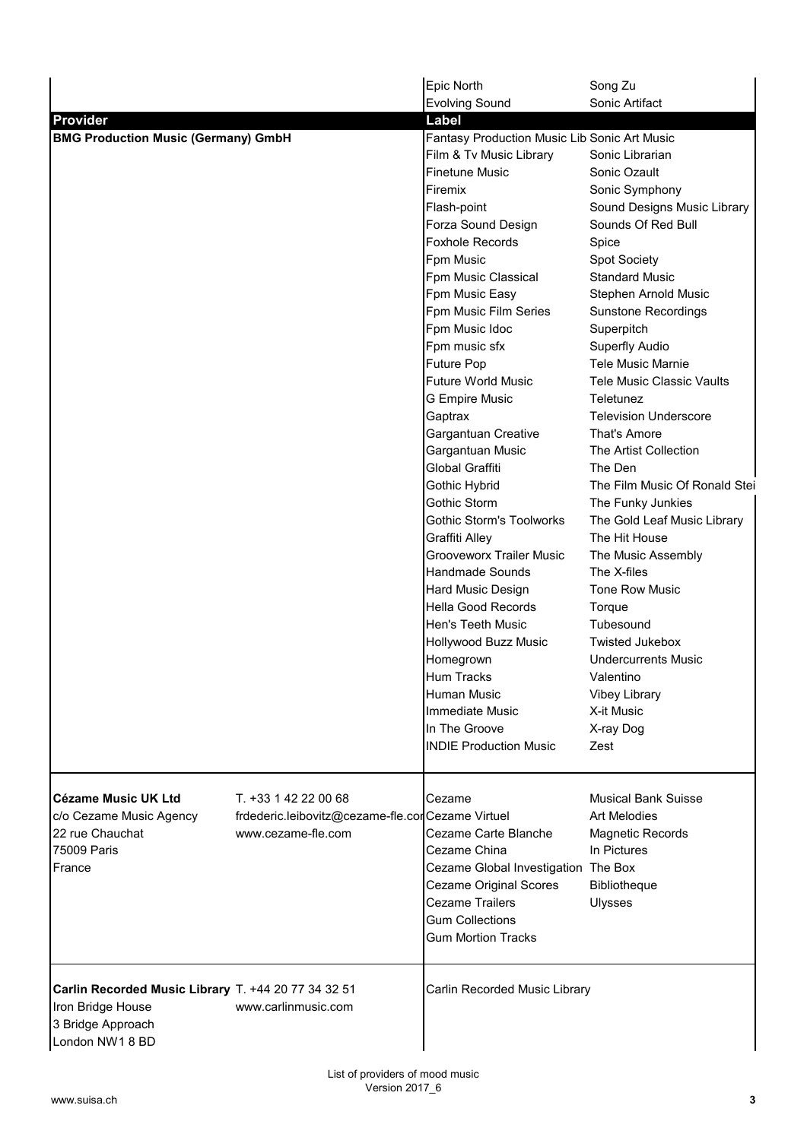|                                                     |                                                  | Epic North                                   | Song Zu                          |
|-----------------------------------------------------|--------------------------------------------------|----------------------------------------------|----------------------------------|
|                                                     |                                                  | Evolving Sound                               | Sonic Artifact                   |
| <b>Provider</b>                                     |                                                  | Label                                        |                                  |
| <b>BMG Production Music (Germany) GmbH</b>          |                                                  | Fantasy Production Music Lib Sonic Art Music |                                  |
|                                                     |                                                  | Film & Tv Music Library                      | Sonic Librarian                  |
|                                                     |                                                  | <b>Finetune Music</b>                        | Sonic Ozault                     |
|                                                     |                                                  | Firemix                                      | Sonic Symphony                   |
|                                                     |                                                  | Flash-point                                  | Sound Designs Music Library      |
|                                                     |                                                  | Forza Sound Design                           | Sounds Of Red Bull               |
|                                                     |                                                  | <b>Foxhole Records</b>                       | Spice                            |
|                                                     |                                                  | Fpm Music                                    | <b>Spot Society</b>              |
|                                                     |                                                  | Fpm Music Classical                          | <b>Standard Music</b>            |
|                                                     |                                                  | Fpm Music Easy                               | Stephen Arnold Music             |
|                                                     |                                                  | Fpm Music Film Series                        | <b>Sunstone Recordings</b>       |
|                                                     |                                                  | Fpm Music Idoc                               | Superpitch                       |
|                                                     |                                                  | Fpm music sfx                                | Superfly Audio                   |
|                                                     |                                                  | Future Pop                                   | <b>Tele Music Marnie</b>         |
|                                                     |                                                  | <b>Future World Music</b>                    | <b>Tele Music Classic Vaults</b> |
|                                                     |                                                  | <b>G Empire Music</b>                        | Teletunez                        |
|                                                     |                                                  | Gaptrax                                      | <b>Television Underscore</b>     |
|                                                     |                                                  | Gargantuan Creative                          | That's Amore                     |
|                                                     |                                                  | Gargantuan Music                             | The Artist Collection            |
|                                                     |                                                  | Global Graffiti                              | The Den                          |
|                                                     |                                                  | Gothic Hybrid                                | The Film Music Of Ronald Stei    |
|                                                     |                                                  | Gothic Storm                                 | The Funky Junkies                |
|                                                     |                                                  | <b>Gothic Storm's Toolworks</b>              | The Gold Leaf Music Library      |
|                                                     |                                                  | Graffiti Alley                               | The Hit House                    |
|                                                     |                                                  | <b>Grooveworx Trailer Music</b>              | The Music Assembly               |
|                                                     |                                                  | <b>Handmade Sounds</b>                       | The X-files                      |
|                                                     |                                                  | Hard Music Design                            | Tone Row Music                   |
|                                                     |                                                  | Hella Good Records                           | Torque                           |
|                                                     |                                                  | Hen's Teeth Music                            | Tubesound                        |
|                                                     |                                                  | Hollywood Buzz Music                         | <b>Twisted Jukebox</b>           |
|                                                     |                                                  | Homegrown                                    | <b>Undercurrents Music</b>       |
|                                                     |                                                  | Hum Tracks                                   | Valentino                        |
|                                                     |                                                  | Human Music                                  | <b>Vibey Library</b>             |
|                                                     |                                                  | <b>Immediate Music</b>                       | X-it Music                       |
|                                                     |                                                  | In The Groove                                | X-ray Dog                        |
|                                                     |                                                  | <b>INDIE Production Music</b>                | Zest                             |
|                                                     |                                                  |                                              |                                  |
| <b>Cézame Music UK Ltd</b>                          | T. +33 1 42 22 00 68                             | Cezame                                       | <b>Musical Bank Suisse</b>       |
| c/o Cezame Music Agency                             | frdederic.leibovitz@cezame-fle.corCezame Virtuel |                                              | Art Melodies                     |
| 22 rue Chauchat                                     | www.cezame-fle.com                               | Cezame Carte Blanche                         | Magnetic Records                 |
| 75009 Paris                                         |                                                  | Cezame China                                 | In Pictures                      |
| France                                              |                                                  | Cezame Global Investigation The Box          |                                  |
|                                                     |                                                  | <b>Cezame Original Scores</b>                | Bibliotheque                     |
|                                                     |                                                  | <b>Cezame Trailers</b>                       | Ulysses                          |
|                                                     |                                                  | <b>Gum Collections</b>                       |                                  |
|                                                     |                                                  | <b>Gum Mortion Tracks</b>                    |                                  |
|                                                     |                                                  |                                              |                                  |
| Carlin Recorded Music Library T. +44 20 77 34 32 51 |                                                  | Carlin Recorded Music Library                |                                  |
| Iron Bridge House                                   | www.carlinmusic.com                              |                                              |                                  |
| 3 Bridge Approach                                   |                                                  |                                              |                                  |
| London NW1 8 BD                                     |                                                  |                                              |                                  |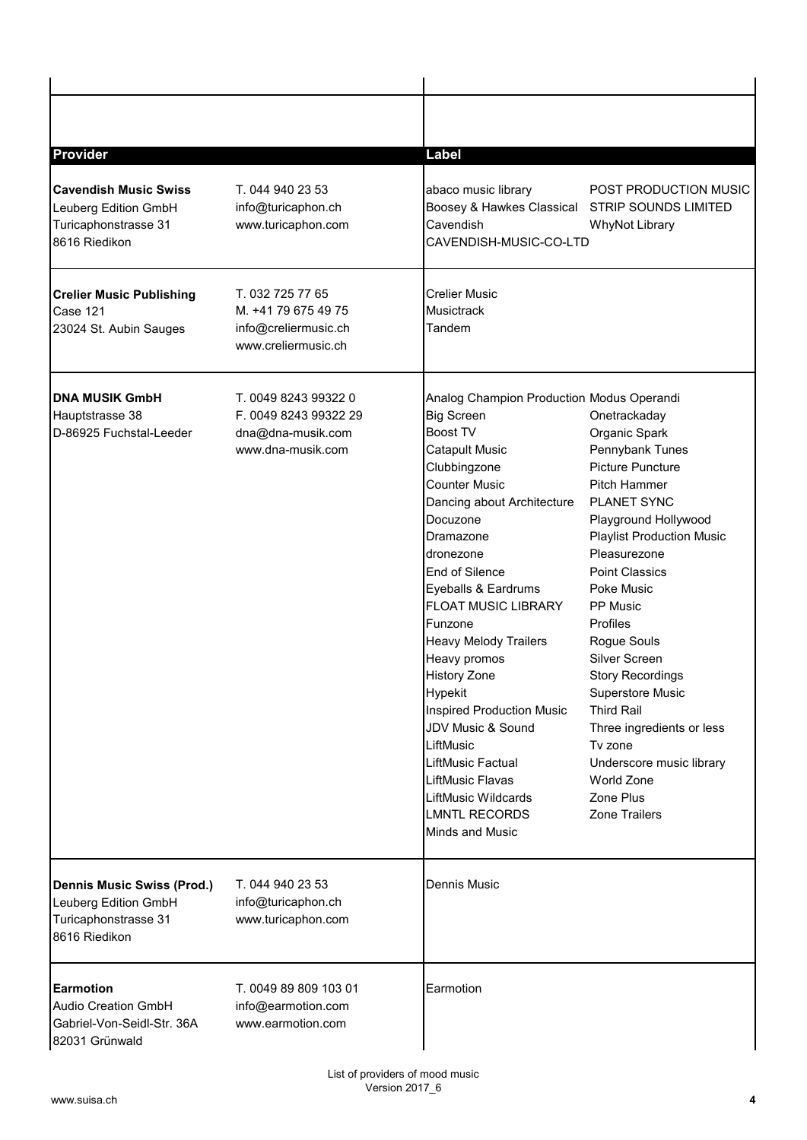| Provider                                                                                           |                                                                                         | Label                                                                                                                                                                                                                                                                                                                                                                                                                                                                                                                                                                                            |                                                                                                                                                                                                                                                                                                                                                                                                                                                                                         |
|----------------------------------------------------------------------------------------------------|-----------------------------------------------------------------------------------------|--------------------------------------------------------------------------------------------------------------------------------------------------------------------------------------------------------------------------------------------------------------------------------------------------------------------------------------------------------------------------------------------------------------------------------------------------------------------------------------------------------------------------------------------------------------------------------------------------|-----------------------------------------------------------------------------------------------------------------------------------------------------------------------------------------------------------------------------------------------------------------------------------------------------------------------------------------------------------------------------------------------------------------------------------------------------------------------------------------|
| <b>Cavendish Music Swiss</b><br>Leuberg Edition GmbH<br>Turicaphonstrasse 31<br>8616 Riedikon      | T. 044 940 23 53<br>info@turicaphon.ch<br>www.turicaphon.com                            | abaco music library<br>Boosey & Hawkes Classical<br>Cavendish<br>CAVENDISH-MUSIC-CO-LTD                                                                                                                                                                                                                                                                                                                                                                                                                                                                                                          | POST PRODUCTION MUSIC<br><b>STRIP SOUNDS LIMITED</b><br><b>WhyNot Library</b>                                                                                                                                                                                                                                                                                                                                                                                                           |
| <b>Crelier Music Publishing</b><br>Case 121<br>23024 St. Aubin Sauges                              | T. 032 725 77 65<br>M. +41 79 675 49 75<br>info@creliermusic.ch<br>www.creliermusic.ch  | <b>Crelier Music</b><br><b>Musictrack</b><br>Tandem                                                                                                                                                                                                                                                                                                                                                                                                                                                                                                                                              |                                                                                                                                                                                                                                                                                                                                                                                                                                                                                         |
| <b>DNA MUSIK GmbH</b><br>Hauptstrasse 38<br>D-86925 Fuchstal-Leeder                                | T. 0049 8243 99322 0<br>F. 0049 8243 99322 29<br>dna@dna-musik.com<br>www.dna-musik.com | Analog Champion Production Modus Operandi<br><b>Big Screen</b><br><b>Boost TV</b><br><b>Catapult Music</b><br>Clubbingzone<br><b>Counter Music</b><br>Dancing about Architecture<br>Docuzone<br>Dramazone<br>dronezone<br>End of Silence<br>Eyeballs & Eardrums<br><b>FLOAT MUSIC LIBRARY</b><br>Funzone<br><b>Heavy Melody Trailers</b><br>Heavy promos<br><b>History Zone</b><br>Hypekit<br><b>Inspired Production Music</b><br>JDV Music & Sound<br>LiftMusic<br><b>LiftMusic Factual</b><br><b>LiftMusic Flavas</b><br><b>LiftMusic Wildcards</b><br><b>LMNTL RECORDS</b><br>Minds and Music | Onetrackaday<br>Organic Spark<br>Pennybank Tunes<br><b>Picture Puncture</b><br><b>Pitch Hammer</b><br>PLANET SYNC<br>Playground Hollywood<br><b>Playlist Production Music</b><br>Pleasurezone<br><b>Point Classics</b><br>Poke Music<br>PP Music<br>Profiles<br>Rogue Souls<br>Silver Screen<br><b>Story Recordings</b><br>Superstore Music<br><b>Third Rail</b><br>Three ingredients or less<br>Tv zone<br>Underscore music library<br>World Zone<br>Zone Plus<br><b>Zone Trailers</b> |
| <b>Dennis Music Swiss (Prod.)</b><br>Leuberg Edition GmbH<br>Turicaphonstrasse 31<br>8616 Riedikon | T. 044 940 23 53<br>info@turicaphon.ch<br>www.turicaphon.com                            | Dennis Music                                                                                                                                                                                                                                                                                                                                                                                                                                                                                                                                                                                     |                                                                                                                                                                                                                                                                                                                                                                                                                                                                                         |
| Earmotion<br><b>Audio Creation GmbH</b><br>Gabriel-Von-Seidl-Str. 36A<br>82031 Grünwald            | T. 0049 89 809 103 01<br>info@earmotion.com<br>www.earmotion.com                        | Earmotion                                                                                                                                                                                                                                                                                                                                                                                                                                                                                                                                                                                        |                                                                                                                                                                                                                                                                                                                                                                                                                                                                                         |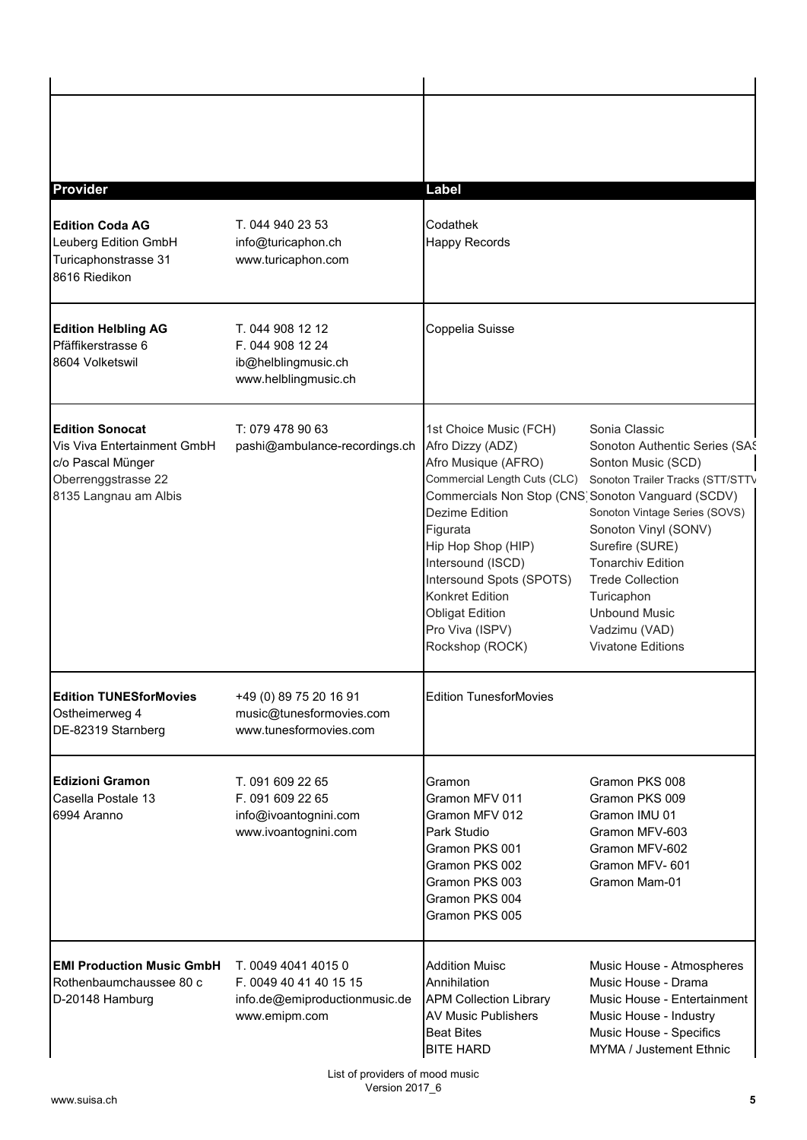| <b>Provider</b>                                                                                                            |                                                                                                                                    | <b>Label</b>                                                                                                                                                                                                                                                                                                                                   |                                                                                                                                                                                                                                                                                                                                |
|----------------------------------------------------------------------------------------------------------------------------|------------------------------------------------------------------------------------------------------------------------------------|------------------------------------------------------------------------------------------------------------------------------------------------------------------------------------------------------------------------------------------------------------------------------------------------------------------------------------------------|--------------------------------------------------------------------------------------------------------------------------------------------------------------------------------------------------------------------------------------------------------------------------------------------------------------------------------|
| <b>Edition Coda AG</b><br>Leuberg Edition GmbH<br>Turicaphonstrasse 31<br>8616 Riedikon                                    | T. 044 940 23 53<br>info@turicaphon.ch<br>www.turicaphon.com                                                                       | Codathek<br><b>Happy Records</b>                                                                                                                                                                                                                                                                                                               |                                                                                                                                                                                                                                                                                                                                |
| <b>Edition Helbling AG</b><br>Pfäffikerstrasse 6<br>8604 Volketswil                                                        | T. 044 908 12 12<br>F. 044 908 12 24<br>ib@helblingmusic.ch<br>www.helblingmusic.ch                                                | Coppelia Suisse                                                                                                                                                                                                                                                                                                                                |                                                                                                                                                                                                                                                                                                                                |
| <b>Edition Sonocat</b><br>Vis Viva Entertainment GmbH<br>c/o Pascal Münger<br>Oberrenggstrasse 22<br>8135 Langnau am Albis | T: 079 478 90 63<br>pashi@ambulance-recordings.ch                                                                                  | 1st Choice Music (FCH)<br>Afro Dizzy (ADZ)<br>Afro Musique (AFRO)<br>Commercial Length Cuts (CLC)<br>Commercials Non Stop (CNS Sonoton Vanguard (SCDV)<br>Dezime Edition<br>Figurata<br>Hip Hop Shop (HIP)<br>Intersound (ISCD)<br>Intersound Spots (SPOTS)<br>Konkret Edition<br><b>Obligat Edition</b><br>Pro Viva (ISPV)<br>Rockshop (ROCK) | Sonia Classic<br>Sonoton Authentic Series (SAS<br>Sonton Music (SCD)<br>Sonoton Trailer Tracks (STT/STTV<br>Sonoton Vintage Series (SOVS)<br>Sonoton Vinyl (SONV)<br>Surefire (SURE)<br><b>Tonarchiv Edition</b><br><b>Trede Collection</b><br>Turicaphon<br><b>Unbound Music</b><br>Vadzimu (VAD)<br><b>Vivatone Editions</b> |
| <b>Edition TUNESforMovies</b><br>Ostheimerweg 4<br>DE-82319 Starnberg                                                      | +49 (0) 89 75 20 16 91<br>music@tunesformovies.com<br>www.tunesformovies.com                                                       | <b>Edition TunesforMovies</b>                                                                                                                                                                                                                                                                                                                  |                                                                                                                                                                                                                                                                                                                                |
| <b>Edizioni Gramon</b><br>Casella Postale 13<br>6994 Aranno                                                                | T. 091 609 22 65<br>F. 091 609 22 65<br>info@ivoantognini.com<br>www.ivoantognini.com                                              | Gramon<br>Gramon MFV 011<br>Gramon MFV 012<br>Park Studio<br>Gramon PKS 001<br>Gramon PKS 002<br>Gramon PKS 003<br>Gramon PKS 004<br>Gramon PKS 005                                                                                                                                                                                            | Gramon PKS 008<br>Gramon PKS 009<br>Gramon IMU 01<br>Gramon MFV-603<br>Gramon MFV-602<br>Gramon MFV-601<br>Gramon Mam-01                                                                                                                                                                                                       |
| <b>EMI Production Music GmbH</b><br>Rothenbaumchaussee 80 c<br>D-20148 Hamburg                                             | T. 0049 4041 4015 0<br>F. 0049 40 41 40 15 15<br>info.de@emiproductionmusic.de<br>www.emipm.com<br>List of providers of mood music | <b>Addition Muisc</b><br>Annihilation<br><b>APM Collection Library</b><br><b>AV Music Publishers</b><br><b>Beat Bites</b><br><b>BITE HARD</b>                                                                                                                                                                                                  | Music House - Atmospheres<br>Music House - Drama<br>Music House - Entertainment<br>Music House - Industry<br>Music House - Specifics<br>MYMA / Justement Ethnic                                                                                                                                                                |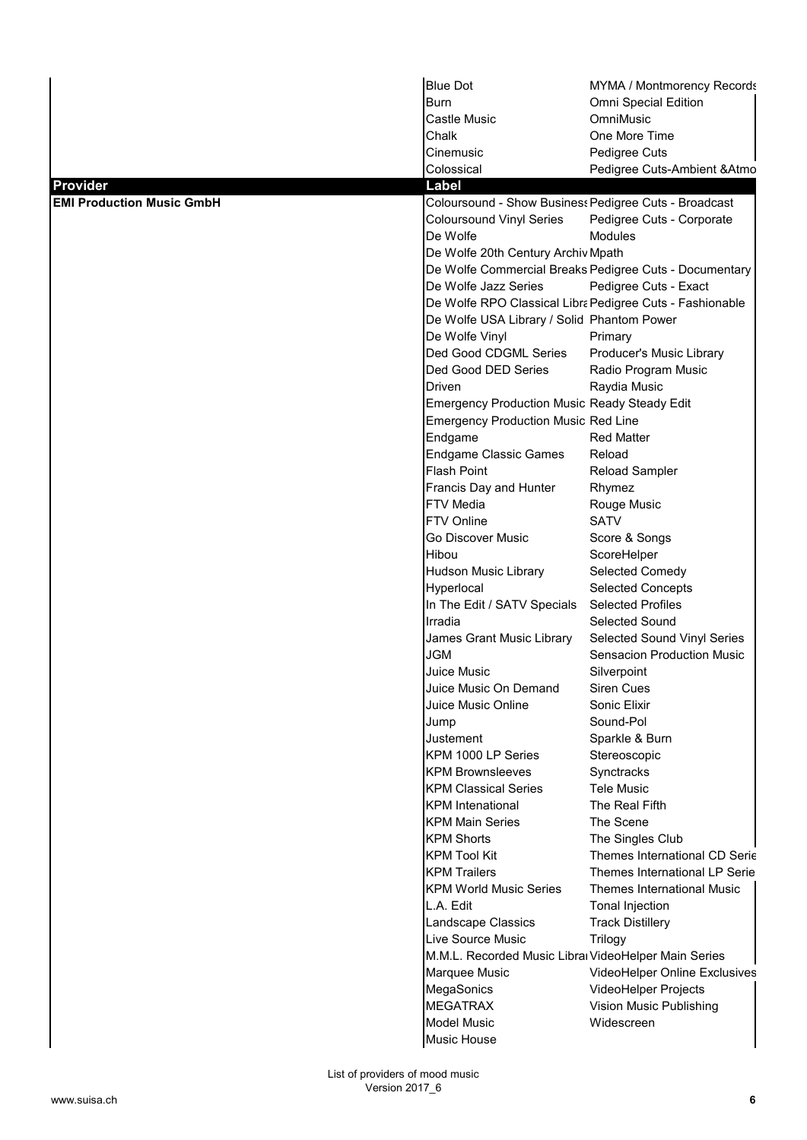|                                  | <b>Blue Dot</b>                                      | MYMA / Montmorency Records                               |
|----------------------------------|------------------------------------------------------|----------------------------------------------------------|
|                                  | Burn                                                 | Omni Special Edition                                     |
|                                  | Castle Music                                         | OmniMusic                                                |
|                                  | Chalk                                                | One More Time                                            |
|                                  | Cinemusic                                            | Pedigree Cuts                                            |
|                                  | Colossical                                           | Pedigree Cuts-Ambient & Atmo                             |
| Provider                         | Label                                                |                                                          |
| <b>EMI Production Music GmbH</b> |                                                      | Coloursound - Show Business Pedigree Cuts - Broadcast    |
|                                  | <b>Coloursound Vinyl Series</b>                      | Pedigree Cuts - Corporate                                |
|                                  | De Wolfe                                             | <b>Modules</b>                                           |
|                                  | De Wolfe 20th Century Archiv Mpath                   |                                                          |
|                                  |                                                      | De Wolfe Commercial Breaks Pedigree Cuts - Documentary   |
|                                  | De Wolfe Jazz Series                                 | Pedigree Cuts - Exact                                    |
|                                  |                                                      | De Wolfe RPO Classical Libra Pedigree Cuts - Fashionable |
|                                  | De Wolfe USA Library / Solid Phantom Power           |                                                          |
|                                  | De Wolfe Vinyl                                       | Primary                                                  |
|                                  | Ded Good CDGML Series                                | Producer's Music Library                                 |
|                                  | Ded Good DED Series                                  | Radio Program Music                                      |
|                                  | Driven                                               | Raydia Music                                             |
|                                  | <b>Emergency Production Music Ready Steady Edit</b>  |                                                          |
|                                  | <b>Emergency Production Music Red Line</b>           |                                                          |
|                                  | Endgame                                              | <b>Red Matter</b>                                        |
|                                  | <b>Endgame Classic Games</b>                         | Reload                                                   |
|                                  | <b>Flash Point</b>                                   | <b>Reload Sampler</b>                                    |
|                                  | Francis Day and Hunter                               | Rhymez                                                   |
|                                  | <b>FTV Media</b>                                     | Rouge Music                                              |
|                                  | FTV Online                                           | <b>SATV</b>                                              |
|                                  | Go Discover Music<br>Hibou                           | Score & Songs                                            |
|                                  |                                                      | ScoreHelper                                              |
|                                  | Hudson Music Library<br>Hyperlocal                   | Selected Comedy<br><b>Selected Concepts</b>              |
|                                  | In The Edit / SATV Specials                          | <b>Selected Profiles</b>                                 |
|                                  | Irradia                                              | Selected Sound                                           |
|                                  | James Grant Music Library                            | Selected Sound Vinyl Series                              |
|                                  | JGM                                                  | Sensacion Production Music                               |
|                                  | Juice Music                                          | Silverpoint                                              |
|                                  | Juice Music On Demand                                | Siren Cues                                               |
|                                  | Juice Music Online                                   | Sonic Elixir                                             |
|                                  | Jump                                                 | Sound-Pol                                                |
|                                  | Justement                                            | Sparkle & Burn                                           |
|                                  | KPM 1000 LP Series                                   | Stereoscopic                                             |
|                                  | <b>KPM Brownsleeves</b>                              | Synctracks                                               |
|                                  | <b>KPM Classical Series</b>                          | <b>Tele Music</b>                                        |
|                                  | <b>KPM</b> Intenational                              | The Real Fifth                                           |
|                                  | <b>KPM Main Series</b>                               | The Scene                                                |
|                                  | <b>KPM Shorts</b>                                    | The Singles Club                                         |
|                                  | <b>KPM Tool Kit</b>                                  | Themes International CD Serie                            |
|                                  | <b>KPM Trailers</b>                                  | Themes International LP Serie                            |
|                                  | <b>KPM World Music Series</b>                        | Themes International Music                               |
|                                  | L.A. Edit                                            | Tonal Injection                                          |
|                                  | Landscape Classics                                   | <b>Track Distillery</b>                                  |
|                                  | Live Source Music                                    | <b>Trilogy</b>                                           |
|                                  | M.M.L. Recorded Music Libral VideoHelper Main Series |                                                          |
|                                  | Marquee Music                                        | VideoHelper Online Exclusives                            |
|                                  | MegaSonics                                           | VideoHelper Projects                                     |
|                                  | <b>MEGATRAX</b>                                      | Vision Music Publishing                                  |
|                                  | <b>Model Music</b>                                   | Widescreen                                               |
|                                  | Music House                                          |                                                          |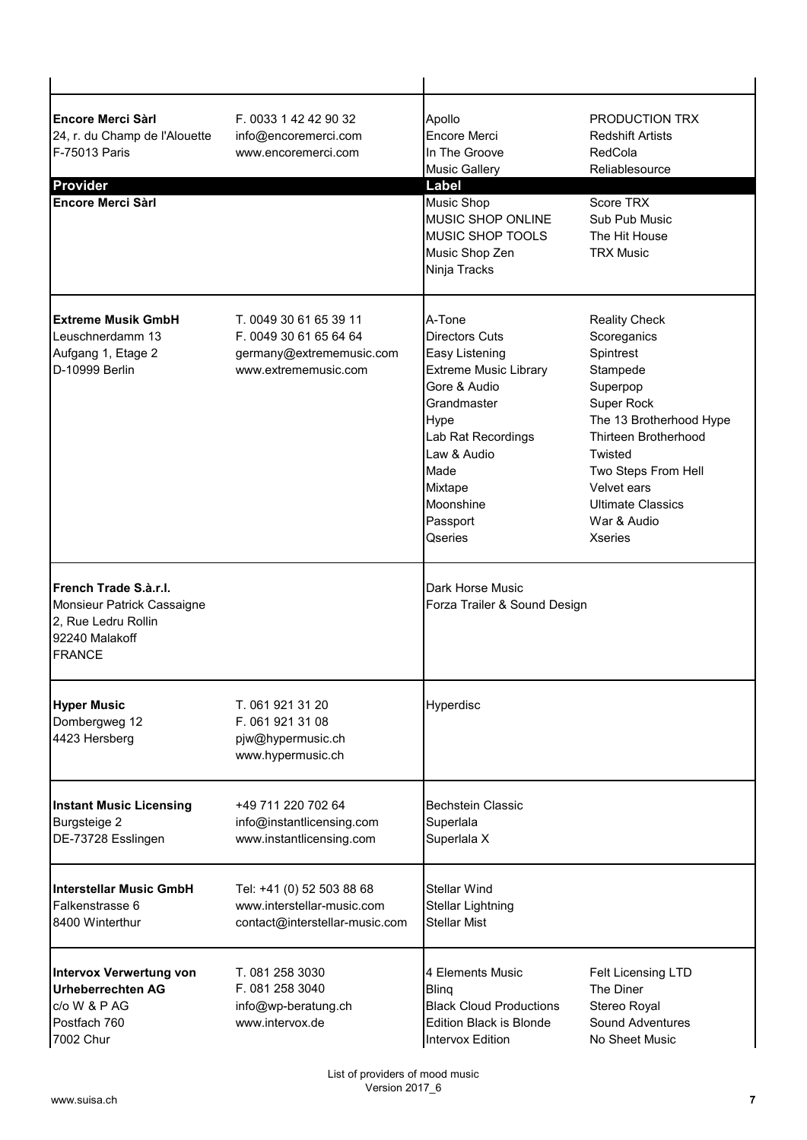| <b>Encore Merci Sàrl</b><br>24, r. du Champ de l'Alouette<br>F-75013 Paris<br><b>Provider</b><br><b>Encore Merci Sàrl</b> | F. 0033 1 42 42 90 32<br>info@encoremerci.com<br>www.encoremerci.com                                 | Apollo<br>Encore Merci<br>In The Groove<br><b>Music Gallery</b><br>Label<br><b>Music Shop</b><br>MUSIC SHOP ONLINE<br><b>MUSIC SHOP TOOLS</b><br>Music Shop Zen<br>Ninja Tracks                                      | PRODUCTION TRX<br><b>Redshift Artists</b><br>RedCola<br>Reliablesource<br>Score TRX<br>Sub Pub Music<br>The Hit House<br><b>TRX Music</b>                                                                                                                      |
|---------------------------------------------------------------------------------------------------------------------------|------------------------------------------------------------------------------------------------------|----------------------------------------------------------------------------------------------------------------------------------------------------------------------------------------------------------------------|----------------------------------------------------------------------------------------------------------------------------------------------------------------------------------------------------------------------------------------------------------------|
| <b>Extreme Musik GmbH</b><br>Leuschnerdamm 13<br>Aufgang 1, Etage 2<br>D-10999 Berlin                                     | T. 0049 30 61 65 39 11<br>F. 0049 30 61 65 64 64<br>germany@extrememusic.com<br>www.extrememusic.com | A-Tone<br><b>Directors Cuts</b><br>Easy Listening<br><b>Extreme Music Library</b><br>Gore & Audio<br>Grandmaster<br>Hype<br>Lab Rat Recordings<br>Law & Audio<br>Made<br>Mixtape<br>Moonshine<br>Passport<br>Qseries | <b>Reality Check</b><br>Scoreganics<br>Spintrest<br>Stampede<br>Superpop<br>Super Rock<br>The 13 Brotherhood Hype<br><b>Thirteen Brotherhood</b><br>Twisted<br>Two Steps From Hell<br>Velvet ears<br><b>Ultimate Classics</b><br>War & Audio<br><b>Xseries</b> |
| lFrench Trade S.à.r.I.<br>Monsieur Patrick Cassaigne<br>2, Rue Ledru Rollin<br>92240 Malakoff<br><b>FRANCE</b>            |                                                                                                      | Dark Horse Music<br>Forza Trailer & Sound Design                                                                                                                                                                     |                                                                                                                                                                                                                                                                |
| <b>Hyper Music</b><br>Dombergweg 12<br>4423 Hersberg                                                                      | T. 061 921 31 20<br>F. 061 921 31 08<br>pjw@hypermusic.ch<br>www.hypermusic.ch                       | Hyperdisc                                                                                                                                                                                                            |                                                                                                                                                                                                                                                                |
| <b>Instant Music Licensing</b><br><b>Burgsteige 2</b><br>DE-73728 Esslingen                                               | +49 711 220 702 64<br>info@instantlicensing.com<br>www.instantlicensing.com                          | <b>Bechstein Classic</b><br>Superlala<br>Superlala X                                                                                                                                                                 |                                                                                                                                                                                                                                                                |
| <b>Interstellar Music GmbH</b><br>Falkenstrasse 6<br>8400 Winterthur                                                      | Tel: +41 (0) 52 503 88 68<br>www.interstellar-music.com<br>contact@interstellar-music.com            | <b>Stellar Wind</b><br><b>Stellar Lightning</b><br>Stellar Mist                                                                                                                                                      |                                                                                                                                                                                                                                                                |
| <b>Intervox Verwertung von</b><br><b>Urheberrechten AG</b><br>c/o W & P AG<br>Postfach 760<br>7002 Chur                   | T. 081 258 3030<br>F. 081 258 3040<br>info@wp-beratung.ch<br>www.intervox.de                         | 4 Elements Music<br><b>Bling</b><br><b>Black Cloud Productions</b><br><b>Edition Black is Blonde</b><br><b>Intervox Edition</b>                                                                                      | Felt Licensing LTD<br>The Diner<br>Stereo Royal<br><b>Sound Adventures</b><br>No Sheet Music                                                                                                                                                                   |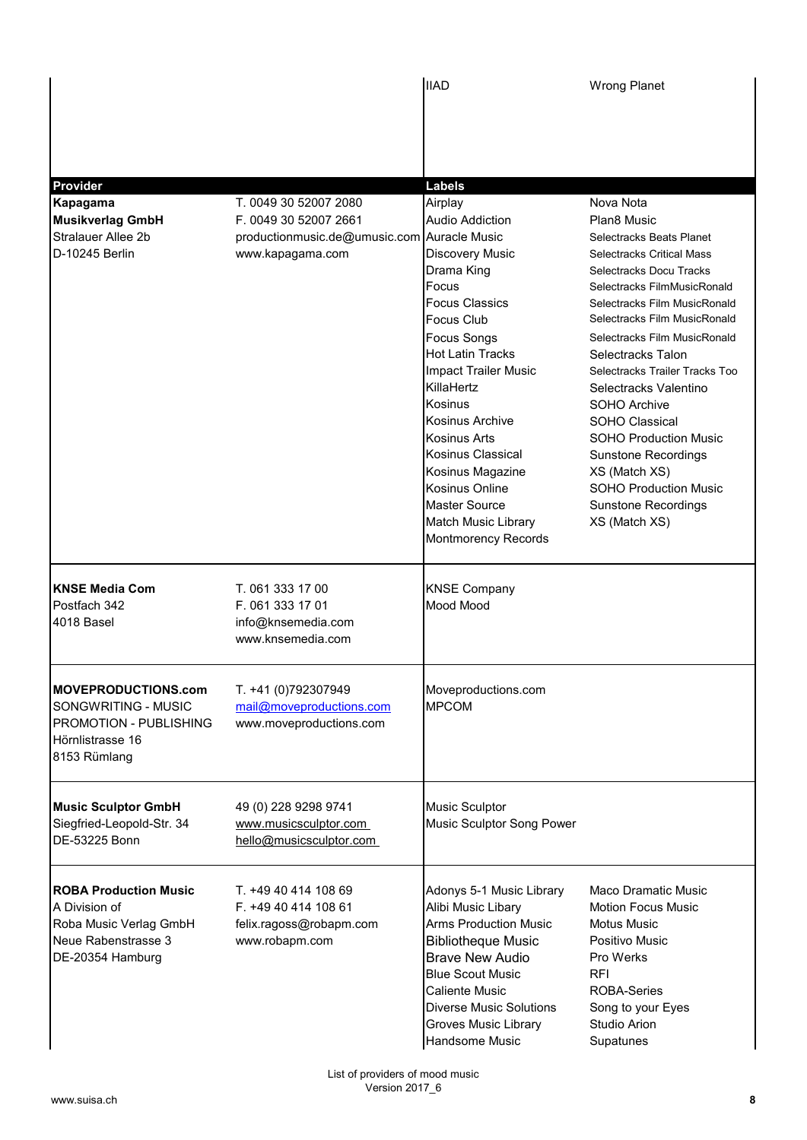|                                                                                                                    |                                                                                                                   | <b>IIAD</b>                                                                                                                                                                                                                                                                                                                                                                                                          | <b>Wrong Planet</b>                                                                                                                                                                                                                                                                                                                                                                                                                                                                                                                       |
|--------------------------------------------------------------------------------------------------------------------|-------------------------------------------------------------------------------------------------------------------|----------------------------------------------------------------------------------------------------------------------------------------------------------------------------------------------------------------------------------------------------------------------------------------------------------------------------------------------------------------------------------------------------------------------|-------------------------------------------------------------------------------------------------------------------------------------------------------------------------------------------------------------------------------------------------------------------------------------------------------------------------------------------------------------------------------------------------------------------------------------------------------------------------------------------------------------------------------------------|
|                                                                                                                    |                                                                                                                   |                                                                                                                                                                                                                                                                                                                                                                                                                      |                                                                                                                                                                                                                                                                                                                                                                                                                                                                                                                                           |
| Provider                                                                                                           |                                                                                                                   | <b>Labels</b>                                                                                                                                                                                                                                                                                                                                                                                                        |                                                                                                                                                                                                                                                                                                                                                                                                                                                                                                                                           |
| Kapagama<br><b>Musikverlag GmbH</b><br><b>Stralauer Allee 2b</b><br>D-10245 Berlin                                 | T. 0049 30 52007 2080<br>F. 0049 30 52007 2661<br>productionmusic.de@umusic.com Auracle Music<br>www.kapagama.com | Airplay<br><b>Audio Addiction</b><br>Discovery Music<br>Drama King<br>Focus<br><b>Focus Classics</b><br><b>Focus Club</b><br><b>Focus Songs</b><br><b>Hot Latin Tracks</b><br><b>Impact Trailer Music</b><br>KillaHertz<br>Kosinus<br>Kosinus Archive<br><b>Kosinus Arts</b><br>Kosinus Classical<br>Kosinus Magazine<br>Kosinus Online<br><b>Master Source</b><br>Match Music Library<br><b>Montmorency Records</b> | Nova Nota<br>Plan8 Music<br>Selectracks Beats Planet<br><b>Selectracks Critical Mass</b><br>Selectracks Docu Tracks<br>Selectracks FilmMusicRonald<br>Selectracks Film MusicRonald<br>Selectracks Film MusicRonald<br>Selectracks Film MusicRonald<br>Selectracks Talon<br>Selectracks Trailer Tracks Too<br>Selectracks Valentino<br>SOHO Archive<br><b>SOHO Classical</b><br><b>SOHO Production Music</b><br><b>Sunstone Recordings</b><br>XS (Match XS)<br><b>SOHO Production Music</b><br><b>Sunstone Recordings</b><br>XS (Match XS) |
| <b>KNSE Media Com</b><br>Postfach 342<br>4018 Basel                                                                | T. 061 333 17 00<br>F. 061 333 17 01<br>info@knsemedia.com<br>www.knsemedia.com                                   | <b>KNSE Company</b><br>Mood Mood                                                                                                                                                                                                                                                                                                                                                                                     |                                                                                                                                                                                                                                                                                                                                                                                                                                                                                                                                           |
| <b>MOVEPRODUCTIONS.com</b><br>SONGWRITING - MUSIC<br>PROMOTION - PUBLISHING<br>Hörnlistrasse 16<br>8153 Rümlang    | T. +41 (0)792307949<br>mail@moveproductions.com<br>www.moveproductions.com                                        | Moveproductions.com<br><b>MPCOM</b>                                                                                                                                                                                                                                                                                                                                                                                  |                                                                                                                                                                                                                                                                                                                                                                                                                                                                                                                                           |
| <b>Music Sculptor GmbH</b><br>Siegfried-Leopold-Str. 34<br>DE-53225 Bonn                                           | 49 (0) 228 9298 9741<br>www.musicsculptor.com<br>hello@musicsculptor.com                                          | Music Sculptor<br><b>Music Sculptor Song Power</b>                                                                                                                                                                                                                                                                                                                                                                   |                                                                                                                                                                                                                                                                                                                                                                                                                                                                                                                                           |
| <b>ROBA Production Music</b><br>A Division of<br>Roba Music Verlag GmbH<br>Neue Rabenstrasse 3<br>DE-20354 Hamburg | T. +49 40 414 108 69<br>F. +49 40 414 108 61<br>felix.ragoss@robapm.com<br>www.robapm.com                         | Adonys 5-1 Music Library<br>Alibi Music Libary<br><b>Arms Production Music</b><br><b>Bibliotheque Music</b><br><b>Brave New Audio</b><br><b>Blue Scout Music</b><br><b>Caliente Music</b><br><b>Diverse Music Solutions</b><br><b>Groves Music Library</b><br>Handsome Music                                                                                                                                         | Maco Dramatic Music<br>Motion Focus Music<br><b>Motus Music</b><br>Positivo Music<br>Pro Werks<br><b>RFI</b><br><b>ROBA-Series</b><br>Song to your Eyes<br><b>Studio Arion</b><br>Supatunes                                                                                                                                                                                                                                                                                                                                               |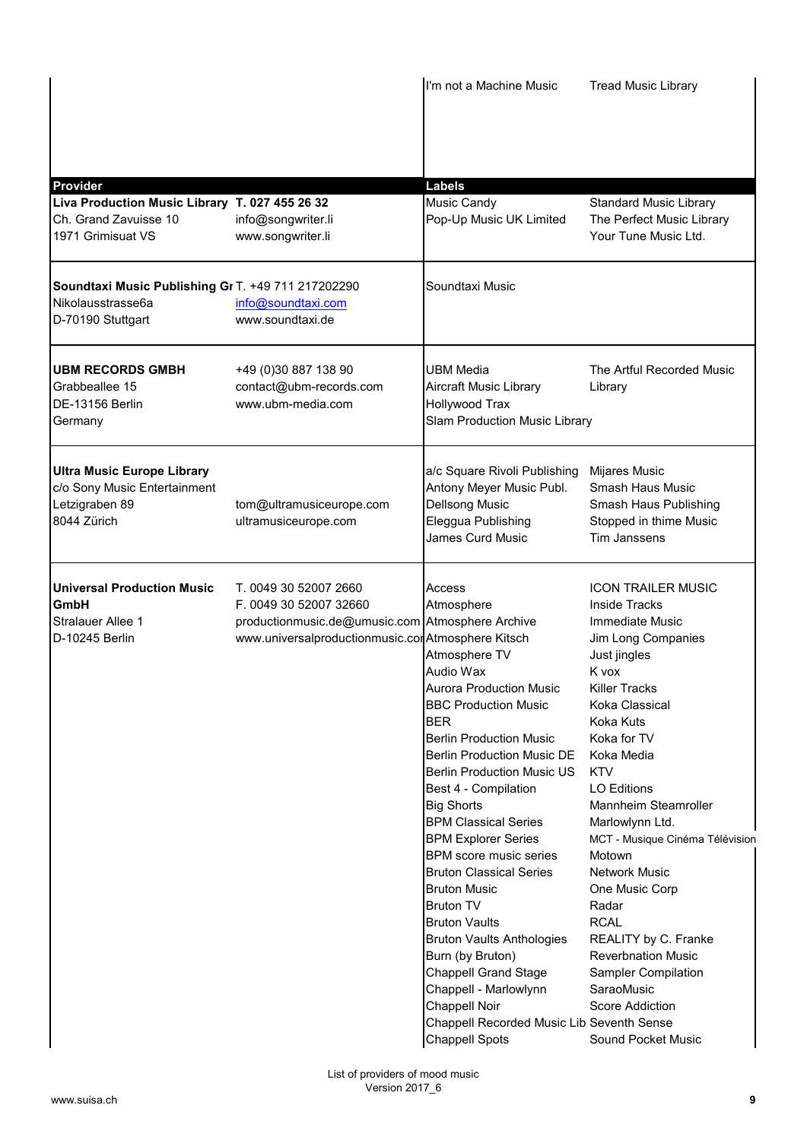|                                                                                                    |                                                                                                                                                           | I'm not a Machine Music                                                                                                                                                                                                                                                                                                                                                                                                                                                                                                                                                                                                                                                                              | <b>Tread Music Library</b>                                                                                                                                                                                                                                                                                                                                                                                                                                                                                                                                    |
|----------------------------------------------------------------------------------------------------|-----------------------------------------------------------------------------------------------------------------------------------------------------------|------------------------------------------------------------------------------------------------------------------------------------------------------------------------------------------------------------------------------------------------------------------------------------------------------------------------------------------------------------------------------------------------------------------------------------------------------------------------------------------------------------------------------------------------------------------------------------------------------------------------------------------------------------------------------------------------------|---------------------------------------------------------------------------------------------------------------------------------------------------------------------------------------------------------------------------------------------------------------------------------------------------------------------------------------------------------------------------------------------------------------------------------------------------------------------------------------------------------------------------------------------------------------|
|                                                                                                    |                                                                                                                                                           |                                                                                                                                                                                                                                                                                                                                                                                                                                                                                                                                                                                                                                                                                                      |                                                                                                                                                                                                                                                                                                                                                                                                                                                                                                                                                               |
| <b>Provider</b>                                                                                    |                                                                                                                                                           | <b>Labels</b>                                                                                                                                                                                                                                                                                                                                                                                                                                                                                                                                                                                                                                                                                        |                                                                                                                                                                                                                                                                                                                                                                                                                                                                                                                                                               |
| Liva Production Music Library T. 027 455 26 32<br>Ch. Grand Zavuisse 10<br>1971 Grimisuat VS       | info@songwriter.li<br>www.songwriter.li                                                                                                                   | Music Candy<br>Pop-Up Music UK Limited                                                                                                                                                                                                                                                                                                                                                                                                                                                                                                                                                                                                                                                               | <b>Standard Music Library</b><br>The Perfect Music Library<br>Your Tune Music Ltd.                                                                                                                                                                                                                                                                                                                                                                                                                                                                            |
| Soundtaxi Music Publishing Gr T. +49 711 217202290<br>Nikolausstrasse6a<br>D-70190 Stuttgart       | info@soundtaxi.com<br>www.soundtaxi.de                                                                                                                    | Soundtaxi Music                                                                                                                                                                                                                                                                                                                                                                                                                                                                                                                                                                                                                                                                                      |                                                                                                                                                                                                                                                                                                                                                                                                                                                                                                                                                               |
| <b>UBM RECORDS GMBH</b><br>Grabbeallee 15<br>DE-13156 Berlin<br>Germany                            | +49 (0)30 887 138 90<br>contact@ubm-records.com<br>www.ubm-media.com                                                                                      | <b>UBM Media</b><br><b>Aircraft Music Library</b><br><b>Hollywood Trax</b><br><b>Slam Production Music Library</b>                                                                                                                                                                                                                                                                                                                                                                                                                                                                                                                                                                                   | The Artful Recorded Music<br>Library                                                                                                                                                                                                                                                                                                                                                                                                                                                                                                                          |
| <b>Ultra Music Europe Library</b><br>c/o Sony Music Entertainment<br>Letzigraben 89<br>8044 Zürich | tom@ultramusiceurope.com<br>ultramusiceurope.com                                                                                                          | a/c Square Rivoli Publishing<br>Antony Meyer Music Publ.<br><b>Dellsong Music</b><br>Eleggua Publishing<br>James Curd Music                                                                                                                                                                                                                                                                                                                                                                                                                                                                                                                                                                          | Mijares Music<br><b>Smash Haus Music</b><br>Smash Haus Publishing<br>Stopped in thime Music<br>Tim Janssens                                                                                                                                                                                                                                                                                                                                                                                                                                                   |
| <b>Universal Production Music</b><br>GmbH<br><b>Stralauer Allee 1</b><br>D-10245 Berlin            | T. 0049 30 52007 2660<br>F. 0049 30 52007 32660<br>productionmusic.de@umusic.com Atmosphere Archive<br>www.universalproductionmusic.cor Atmosphere Kitsch | Access<br>Atmosphere<br>Atmosphere TV<br>Audio Wax<br><b>Aurora Production Music</b><br><b>BBC Production Music</b><br><b>BER</b><br><b>Berlin Production Music</b><br><b>Berlin Production Music DE</b><br><b>Berlin Production Music US</b><br>Best 4 - Compilation<br><b>Big Shorts</b><br><b>BPM Classical Series</b><br><b>BPM Explorer Series</b><br>BPM score music series<br><b>Bruton Classical Series</b><br><b>Bruton Music</b><br><b>Bruton TV</b><br><b>Bruton Vaults</b><br><b>Bruton Vaults Anthologies</b><br>Burn (by Bruton)<br><b>Chappell Grand Stage</b><br>Chappell - Marlowlynn<br><b>Chappell Noir</b><br>Chappell Recorded Music Lib Seventh Sense<br><b>Chappell Spots</b> | <b>ICON TRAILER MUSIC</b><br><b>Inside Tracks</b><br><b>Immediate Music</b><br>Jim Long Companies<br>Just jingles<br>K vox<br><b>Killer Tracks</b><br>Koka Classical<br>Koka Kuts<br>Koka for TV<br>Koka Media<br><b>KTV</b><br><b>LO Editions</b><br>Mannheim Steamroller<br>Marlowlynn Ltd.<br>MCT - Musique Cinéma Télévision<br>Motown<br><b>Network Music</b><br>One Music Corp<br>Radar<br><b>RCAL</b><br>REALITY by C. Franke<br><b>Reverbnation Music</b><br><b>Sampler Compilation</b><br>SaraoMusic<br><b>Score Addiction</b><br>Sound Pocket Music |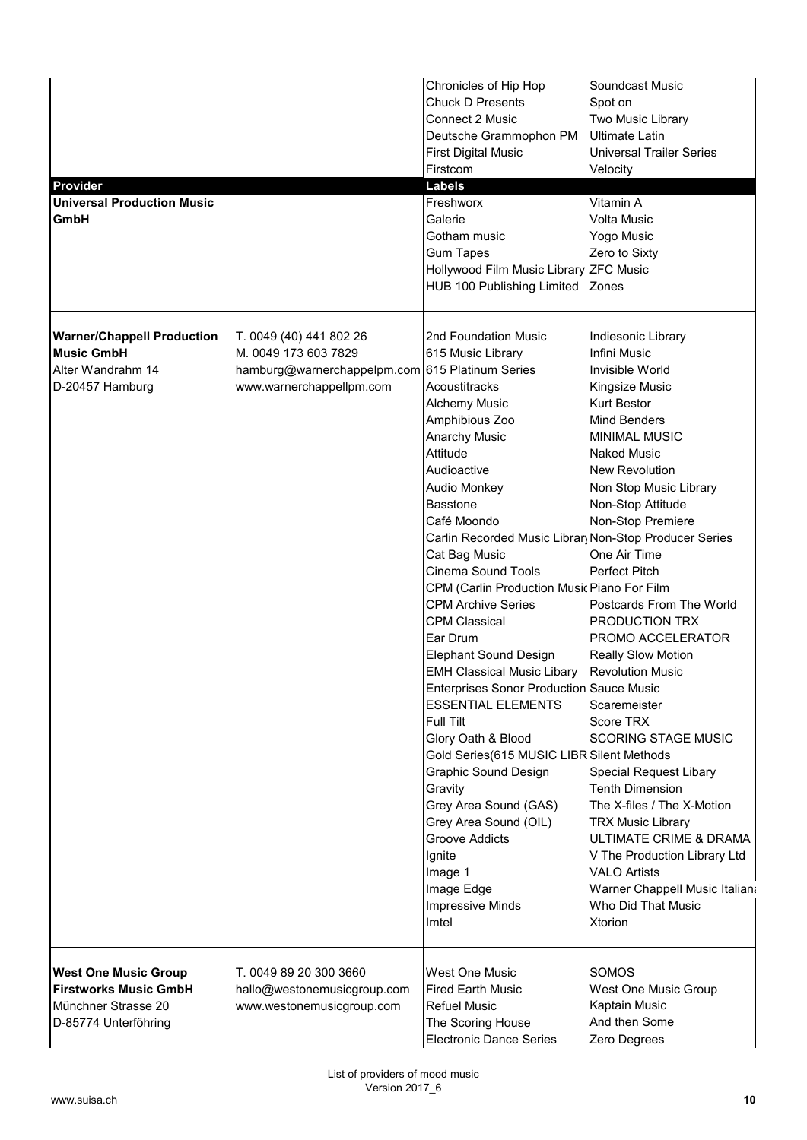| <b>Provider</b><br><b>Universal Production Music</b><br><b>GmbH</b>                                        |                                                                                                                                | Chronicles of Hip Hop<br><b>Chuck D Presents</b><br><b>Connect 2 Music</b><br>Deutsche Grammophon PM<br><b>First Digital Music</b><br>Firstcom<br><b>Labels</b><br>Freshworx<br>Galerie<br>Gotham music<br><b>Gum Tapes</b><br>Hollywood Film Music Library ZFC Music<br>HUB 100 Publishing Limited Zones                                                                                                                                                                                                                                                                                                                                                                                                                                                                                                                                                  | Soundcast Music<br>Spot on<br>Two Music Library<br><b>Ultimate Latin</b><br><b>Universal Trailer Series</b><br>Velocity<br>Vitamin A<br><b>Volta Music</b><br>Yogo Music<br>Zero to Sixty                                                                                                                                                                                                                                                                                                                                                                                                                                                                                                                                                                       |
|------------------------------------------------------------------------------------------------------------|--------------------------------------------------------------------------------------------------------------------------------|------------------------------------------------------------------------------------------------------------------------------------------------------------------------------------------------------------------------------------------------------------------------------------------------------------------------------------------------------------------------------------------------------------------------------------------------------------------------------------------------------------------------------------------------------------------------------------------------------------------------------------------------------------------------------------------------------------------------------------------------------------------------------------------------------------------------------------------------------------|-----------------------------------------------------------------------------------------------------------------------------------------------------------------------------------------------------------------------------------------------------------------------------------------------------------------------------------------------------------------------------------------------------------------------------------------------------------------------------------------------------------------------------------------------------------------------------------------------------------------------------------------------------------------------------------------------------------------------------------------------------------------|
| <b>Warner/Chappell Production</b><br><b>Music GmbH</b><br>Alter Wandrahm 14<br>D-20457 Hamburg             | T. 0049 (40) 441 802 26<br>M. 0049 173 603 7829<br>hamburg@warnerchappelpm.com 615 Platinum Series<br>www.warnerchappellpm.com | 2nd Foundation Music<br>615 Music Library<br>Acoustitracks<br>Alchemy Music<br>Amphibious Zoo<br><b>Anarchy Music</b><br>Attitude<br>Audioactive<br>Audio Monkey<br><b>Basstone</b><br>Café Moondo<br>Carlin Recorded Music Librar Non-Stop Producer Series<br>Cat Bag Music<br>Cinema Sound Tools<br>CPM (Carlin Production Music Piano For Film<br><b>CPM Archive Series</b><br><b>CPM Classical</b><br>Ear Drum<br><b>Elephant Sound Design</b><br><b>EMH Classical Music Libary</b><br><b>Enterprises Sonor Production Sauce Music</b><br><b>ESSENTIAL ELEMENTS</b><br><b>Full Tilt</b><br>Glory Oath & Blood<br>Gold Series(615 MUSIC LIBR Silent Methods<br><b>Graphic Sound Design</b><br>Gravity<br>Grey Area Sound (GAS)<br>Grey Area Sound (OIL)<br><b>Groove Addicts</b><br>Ignite<br>Image 1<br>Image Edge<br><b>Impressive Minds</b><br>Imtel | Indiesonic Library<br>Infini Music<br>Invisible World<br>Kingsize Music<br><b>Kurt Bestor</b><br><b>Mind Benders</b><br><b>MINIMAL MUSIC</b><br><b>Naked Music</b><br>New Revolution<br>Non Stop Music Library<br>Non-Stop Attitude<br>Non-Stop Premiere<br>One Air Time<br><b>Perfect Pitch</b><br>Postcards From The World<br>PRODUCTION TRX<br>PROMO ACCELERATOR<br><b>Really Slow Motion</b><br><b>Revolution Music</b><br>Scaremeister<br>Score TRX<br><b>SCORING STAGE MUSIC</b><br><b>Special Request Libary</b><br><b>Tenth Dimension</b><br>The X-files / The X-Motion<br><b>TRX Music Library</b><br>ULTIMATE CRIME & DRAMA<br>V The Production Library Ltd<br><b>VALO Artists</b><br>Warner Chappell Music Italiana<br>Who Did That Music<br>Xtorion |
| <b>West One Music Group</b><br><b>Firstworks Music GmbH</b><br>Münchner Strasse 20<br>D-85774 Unterföhring | T. 0049 89 20 300 3660<br>hallo@westonemusicgroup.com<br>www.westonemusicgroup.com                                             | <b>West One Music</b><br><b>Fired Earth Music</b><br><b>Refuel Music</b><br>The Scoring House<br>Electronic Dance Series                                                                                                                                                                                                                                                                                                                                                                                                                                                                                                                                                                                                                                                                                                                                   | <b>SOMOS</b><br>West One Music Group<br>Kaptain Music<br>And then Some<br>Zero Degrees                                                                                                                                                                                                                                                                                                                                                                                                                                                                                                                                                                                                                                                                          |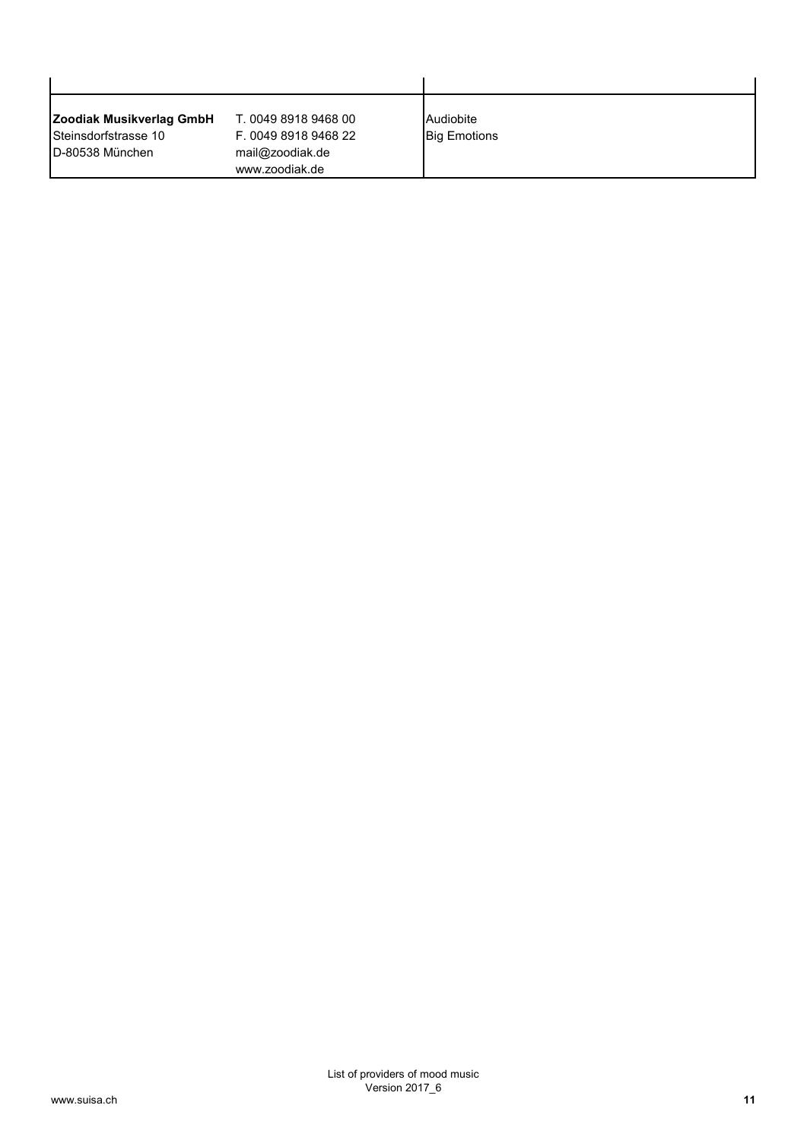| Zoodiak Musikverlag GmbH | T. 0049 8918 9468 00 | Audiobite           |  |
|--------------------------|----------------------|---------------------|--|
| Steinsdorfstrasse 10     | F. 0049 8918 9468 22 | <b>Big Emotions</b> |  |
| ID-80538 München         | mail@zoodiak.de      |                     |  |
|                          | www.zoodiak.de       |                     |  |